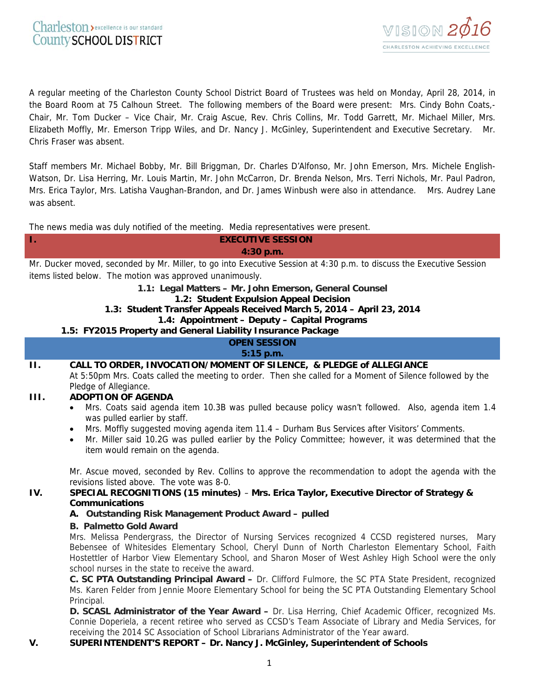

A regular meeting of the Charleston County School District Board of Trustees was held on Monday, April 28, 2014, in the Board Room at 75 Calhoun Street. The following members of the Board were present: Mrs. Cindy Bohn Coats,- Chair, Mr. Tom Ducker – Vice Chair, Mr. Craig Ascue, Rev. Chris Collins, Mr. Todd Garrett, Mr. Michael Miller, Mrs. Elizabeth Moffly, Mr. Emerson Tripp Wiles, and Dr. Nancy J. McGinley, Superintendent and Executive Secretary. Mr. Chris Fraser was absent.

Staff members Mr. Michael Bobby, Mr. Bill Briggman, Dr. Charles D'Alfonso, Mr. John Emerson, Mrs. Michele English-Watson, Dr. Lisa Herring, Mr. Louis Martin, Mr. John McCarron, Dr. Brenda Nelson, Mrs. Terri Nichols, Mr. Paul Padron, Mrs. Erica Taylor, Mrs. Latisha Vaughan-Brandon, and Dr. James Winbush were also in attendance.Mrs. Audrey Lane was absent.

The news media was duly notified of the meeting. Media representatives were present.

| 1.                                                                                                                   | <b>EXECUTIVE SESSION</b>                                                                                                                                                                                                         |
|----------------------------------------------------------------------------------------------------------------------|----------------------------------------------------------------------------------------------------------------------------------------------------------------------------------------------------------------------------------|
|                                                                                                                      | 4:30 p.m.                                                                                                                                                                                                                        |
| Mr. Ducker moved, seconded by Mr. Miller, to go into Executive Session at 4:30 p.m. to discuss the Executive Session |                                                                                                                                                                                                                                  |
| items listed below. The motion was approved unanimously.                                                             |                                                                                                                                                                                                                                  |
| 1.1: Legal Matters - Mr. John Emerson, General Counsel                                                               |                                                                                                                                                                                                                                  |
|                                                                                                                      | 1.2: Student Expulsion Appeal Decision                                                                                                                                                                                           |
| 1.3: Student Transfer Appeals Received March 5, 2014 - April 23, 2014                                                |                                                                                                                                                                                                                                  |
|                                                                                                                      | 1.4: Appointment - Deputy - Capital Programs                                                                                                                                                                                     |
| 1.5: FY2015 Property and General Liability Insurance Package<br><b>OPEN SESSION</b>                                  |                                                                                                                                                                                                                                  |
| 5:15 p.m.                                                                                                            |                                                                                                                                                                                                                                  |
| П.                                                                                                                   | CALL TO ORDER, INVOCATION/MOMENT OF SILENCE, & PLEDGE of ALLEGIANCE                                                                                                                                                              |
|                                                                                                                      | At 5:50pm Mrs. Coats called the meeting to order. Then she called for a Moment of Silence followed by the                                                                                                                        |
|                                                                                                                      | Pledge of Allegiance.                                                                                                                                                                                                            |
| Ш.                                                                                                                   | <b>ADOPTION OF AGENDA</b>                                                                                                                                                                                                        |
|                                                                                                                      | Mrs. Coats said agenda item 10.3B was pulled because policy wasn't followed. Also, agenda item 1.4                                                                                                                               |
|                                                                                                                      | was pulled earlier by staff.                                                                                                                                                                                                     |
|                                                                                                                      | Mrs. Moffly suggested moving agenda item 11.4 - Durham Bus Services after Visitors' Comments.<br>$\bullet$<br>Mr. Miller said 10.2G was pulled earlier by the Policy Committee; however, it was determined that the<br>$\bullet$ |
|                                                                                                                      | item would remain on the agenda.                                                                                                                                                                                                 |
|                                                                                                                      |                                                                                                                                                                                                                                  |
|                                                                                                                      | Mr. Ascue moved, seconded by Rev. Collins to approve the recommendation to adopt the agenda with the<br>revisions listed above. The vote was 8-0.                                                                                |
| IV.                                                                                                                  | SPECIAL RECOGNITIONS (15 minutes) - Mrs. Erica Taylor, Executive Director of Strategy &                                                                                                                                          |
|                                                                                                                      | <b>Communications</b>                                                                                                                                                                                                            |
|                                                                                                                      | A. Outstanding Risk Management Product Award - pulled                                                                                                                                                                            |
|                                                                                                                      | <b>B. Palmetto Gold Award</b>                                                                                                                                                                                                    |
|                                                                                                                      | Mrs. Melissa Pendergrass, the Director of Nursing Services recognized 4 CCSD registered nurses, Mary                                                                                                                             |
|                                                                                                                      | Bebensee of Whitesides Elementary School, Cheryl Dunn of North Charleston Elementary School, Faith                                                                                                                               |
|                                                                                                                      | Hostettler of Harbor View Elementary School, and Sharon Moser of West Ashley High School were the only<br>school nurses in the state to receive the award.                                                                       |
|                                                                                                                      | C. SC PTA Outstanding Principal Award - Dr. Clifford Fulmore, the SC PTA State President, recognized                                                                                                                             |
|                                                                                                                      | Ms. Karen Felder from Jennie Moore Elementary School for being the SC PTA Outstanding Elementary School                                                                                                                          |
|                                                                                                                      | Principal.                                                                                                                                                                                                                       |
|                                                                                                                      | D. SCASL Administrator of the Year Award - Dr. Lisa Herring, Chief Academic Officer, recognized Ms.                                                                                                                              |
|                                                                                                                      | Connie Doperiela, a recent retiree who served as CCSD's Team Associate of Library and Media Services, for                                                                                                                        |
|                                                                                                                      | receiving the 2014 SC Association of School Librarians Administrator of the Year award.                                                                                                                                          |

## **V. SUPERINTENDENT'S REPORT – Dr. Nancy J. McGinley, Superintendent of Schools**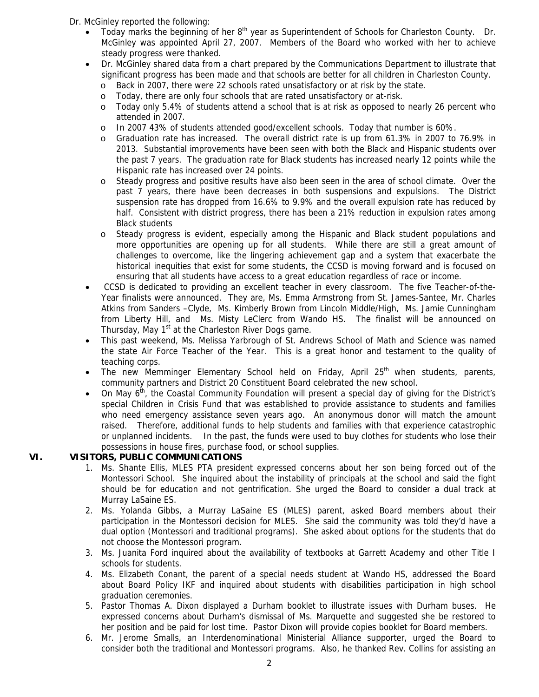Dr. McGinley reported the following:

- Today marks the beginning of her 8<sup>th</sup> year as Superintendent of Schools for Charleston County. Dr. McGinley was appointed April 27, 2007. Members of the Board who worked with her to achieve steady progress were thanked.
- Dr. McGinley shared data from a chart prepared by the Communications Department to illustrate that significant progress has been made and that schools are better for all children in Charleston County.
	- o Back in 2007, there were 22 schools rated unsatisfactory or at risk by the state.
	- o Today, there are only four schools that are rated unsatisfactory or at-risk.
	- o Today only 5.4% of students attend a school that is at risk as opposed to nearly 26 percent who attended in 2007.
	- o In 2007 43% of students attended good/excellent schools. Today that number is 60%.
	- o Graduation rate has increased. The overall district rate is up from 61.3% in 2007 to 76.9% in 2013. Substantial improvements have been seen with both the Black and Hispanic students over the past 7 years. The graduation rate for Black students has increased nearly 12 points while the Hispanic rate has increased over 24 points.
	- o Steady progress and positive results have also been seen in the area of school climate. Over the past 7 years, there have been decreases in both suspensions and expulsions. The District suspension rate has dropped from 16.6% to 9.9% and the overall expulsion rate has reduced by half. Consistent with district progress, there has been a 21% reduction in expulsion rates among Black students
	- Steady progress is evident, especially among the Hispanic and Black student populations and more opportunities are opening up for all students. While there are still a great amount of challenges to overcome, like the lingering achievement gap and a system that exacerbate the historical inequities that exist for some students, the CCSD is moving forward and is focused on ensuring that all students have access to a great education regardless of race or income.
- CCSD is dedicated to providing an excellent teacher in every classroom. The five Teacher-of-the-Year finalists were announced. They are, Ms. Emma Armstrong from St. James-Santee, Mr. Charles Atkins from Sanders –Clyde, Ms. Kimberly Brown from Lincoln Middle/High, Ms. Jamie Cunningham from Liberty Hill, and Ms. Misty LeClerc from Wando HS. The finalist will be announced on Thursday, May 1<sup>st</sup> at the Charleston River Dogs game.
- This past weekend, Ms. Melissa Yarbrough of St. Andrews School of Math and Science was named the state Air Force Teacher of the Year. This is a great honor and testament to the quality of teaching corps.
- The new Memminger Elementary School held on Friday, April 25<sup>th</sup> when students, parents, community partners and District 20 Constituent Board celebrated the new school.
- On May 6th, the Coastal Community Foundation will present a special day of giving for the District's special Children in Crisis Fund that was established to provide assistance to students and families who need emergency assistance seven years ago. An anonymous donor will match the amount raised. Therefore, additional funds to help students and families with that experience catastrophic or unplanned incidents. In the past, the funds were used to buy clothes for students who lose their possessions in house fires, purchase food, or school supplies.

## **VI. VISITORS, PUBLIC COMMUNICATIONS**

- 1. Ms. Shante Ellis, MLES PTA president expressed concerns about her son being forced out of the Montessori School. She inquired about the instability of principals at the school and said the fight should be for education and not gentrification. She urged the Board to consider a dual track at Murray LaSaine ES.
- 2. Ms. Yolanda Gibbs, a Murray LaSaine ES (MLES) parent, asked Board members about their participation in the Montessori decision for MLES. She said the community was told they'd have a dual option (Montessori and traditional programs). She asked about options for the students that do not choose the Montessori program.
- 3. Ms. Juanita Ford inquired about the availability of textbooks at Garrett Academy and other Title I schools for students.
- 4. Ms. Elizabeth Conant, the parent of a special needs student at Wando HS, addressed the Board about Board Policy IKF and inquired about students with disabilities participation in high school graduation ceremonies.
- 5. Pastor Thomas A. Dixon displayed a Durham booklet to illustrate issues with Durham buses. He expressed concerns about Durham's dismissal of Ms. Marquette and suggested she be restored to her position and be paid for lost time. Pastor Dixon will provide copies booklet for Board members.
- 6. Mr. Jerome Smalls, an Interdenominational Ministerial Alliance supporter, urged the Board to consider both the traditional and Montessori programs. Also, he thanked Rev. Collins for assisting an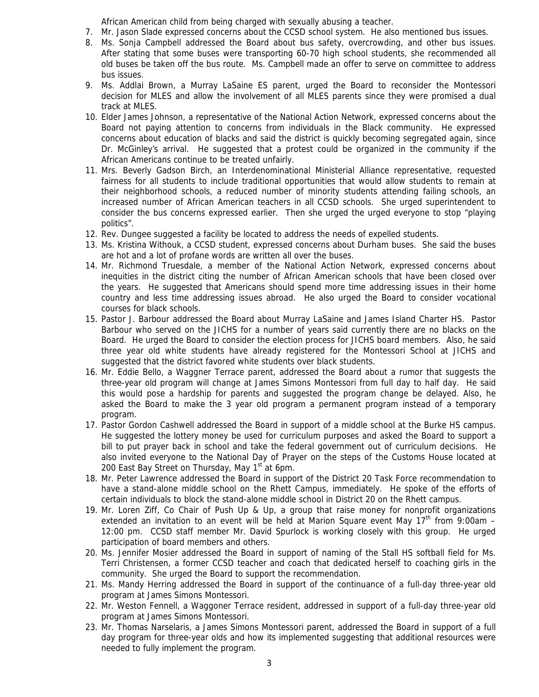African American child from being charged with sexually abusing a teacher.

- 7. Mr. Jason Slade expressed concerns about the CCSD school system. He also mentioned bus issues.
- 8. Ms. Sonja Campbell addressed the Board about bus safety, overcrowding, and other bus issues. After stating that some buses were transporting 60-70 high school students, she recommended all old buses be taken off the bus route. Ms. Campbell made an offer to serve on committee to address bus issues.
- 9. Ms. Addlai Brown, a Murray LaSaine ES parent, urged the Board to reconsider the Montessori decision for MLES and allow the involvement of all MLES parents since they were promised a dual track at MLES.
- 10. Elder James Johnson, a representative of the National Action Network, expressed concerns about the Board not paying attention to concerns from individuals in the Black community. He expressed concerns about education of blacks and said the district is quickly becoming segregated again, since Dr. McGinley's arrival. He suggested that a protest could be organized in the community if the African Americans continue to be treated unfairly.
- 11. Mrs. Beverly Gadson Birch, an Interdenominational Ministerial Alliance representative, requested fairness for all students to include traditional opportunities that would allow students to remain at their neighborhood schools, a reduced number of minority students attending failing schools, an increased number of African American teachers in all CCSD schools. She urged superintendent to consider the bus concerns expressed earlier. Then she urged the urged everyone to stop "playing politics".
- 12. Rev. Dungee suggested a facility be located to address the needs of expelled students.
- 13. Ms. Kristina Withouk, a CCSD student, expressed concerns about Durham buses. She said the buses are hot and a lot of profane words are written all over the buses.
- 14. Mr. Richmond Truesdale, a member of the National Action Network, expressed concerns about inequities in the district citing the number of African American schools that have been closed over the years. He suggested that Americans should spend more time addressing issues in their home country and less time addressing issues abroad. He also urged the Board to consider vocational courses for black schools.
- 15. Pastor J. Barbour addressed the Board about Murray LaSaine and James Island Charter HS. Pastor Barbour who served on the JICHS for a number of years said currently there are no blacks on the Board. He urged the Board to consider the election process for JICHS board members. Also, he said three year old white students have already registered for the Montessori School at JICHS and suggested that the district favored white students over black students.
- 16. Mr. Eddie Bello, a Waggner Terrace parent, addressed the Board about a rumor that suggests the three-year old program will change at James Simons Montessori from full day to half day. He said this would pose a hardship for parents and suggested the program change be delayed. Also, he asked the Board to make the 3 year old program a permanent program instead of a temporary program.
- 17. Pastor Gordon Cashwell addressed the Board in support of a middle school at the Burke HS campus. He suggested the lottery money be used for curriculum purposes and asked the Board to support a bill to put prayer back in school and take the federal government out of curriculum decisions. He also invited everyone to the National Day of Prayer on the steps of the Customs House located at 200 East Bay Street on Thursday, May  $1<sup>st</sup>$  at 6pm.
- 18. Mr. Peter Lawrence addressed the Board in support of the District 20 Task Force recommendation to have a stand-alone middle school on the Rhett Campus, immediately. He spoke of the efforts of certain individuals to block the stand-alone middle school in District 20 on the Rhett campus.
- 19. Mr. Loren Ziff, Co Chair of Push Up & Up, a group that raise money for nonprofit organizations extended an invitation to an event will be held at Marion Square event May  $17<sup>th</sup>$  from 9:00am – 12:00 pm. CCSD staff member Mr. David Spurlock is working closely with this group. He urged participation of board members and others.
- 20. Ms. Jennifer Mosier addressed the Board in support of naming of the Stall HS softball field for Ms. Terri Christensen, a former CCSD teacher and coach that dedicated herself to coaching girls in the community. She urged the Board to support the recommendation.
- 21. Ms. Mandy Herring addressed the Board in support of the continuance of a full-day three-year old program at James Simons Montessori.
- 22. Mr. Weston Fennell, a Waggoner Terrace resident, addressed in support of a full-day three-year old program at James Simons Montessori.
- 23. Mr. Thomas Narselaris, a James Simons Montessori parent, addressed the Board in support of a full day program for three-year olds and how its implemented suggesting that additional resources were needed to fully implement the program.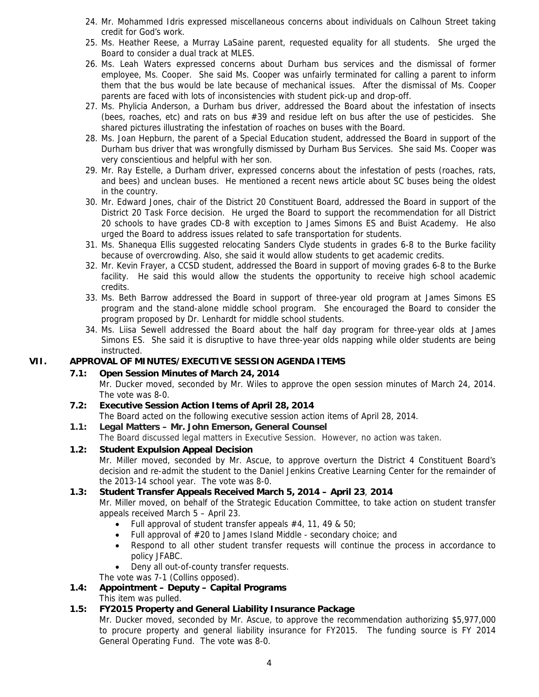- 24. Mr. Mohammed Idris expressed miscellaneous concerns about individuals on Calhoun Street taking credit for God's work.
- 25. Ms. Heather Reese, a Murray LaSaine parent, requested equality for all students. She urged the Board to consider a dual track at MLES.
- 26. Ms. Leah Waters expressed concerns about Durham bus services and the dismissal of former employee, Ms. Cooper. She said Ms. Cooper was unfairly terminated for calling a parent to inform them that the bus would be late because of mechanical issues. After the dismissal of Ms. Cooper parents are faced with lots of inconsistencies with student pick-up and drop-off.
- 27. Ms. Phylicia Anderson, a Durham bus driver, addressed the Board about the infestation of insects (bees, roaches, etc) and rats on bus #39 and residue left on bus after the use of pesticides. She shared pictures illustrating the infestation of roaches on buses with the Board.
- 28. Ms. Joan Hepburn, the parent of a Special Education student, addressed the Board in support of the Durham bus driver that was wrongfully dismissed by Durham Bus Services. She said Ms. Cooper was very conscientious and helpful with her son.
- 29. Mr. Ray Estelle, a Durham driver, expressed concerns about the infestation of pests (roaches, rats, and bees) and unclean buses. He mentioned a recent news article about SC buses being the oldest in the country.
- 30. Mr. Edward Jones, chair of the District 20 Constituent Board, addressed the Board in support of the District 20 Task Force decision. He urged the Board to support the recommendation for all District 20 schools to have grades CD-8 with exception to James Simons ES and Buist Academy. He also urged the Board to address issues related to safe transportation for students.
- 31. Ms. Shanequa Ellis suggested relocating Sanders Clyde students in grades 6-8 to the Burke facility because of overcrowding. Also, she said it would allow students to get academic credits.
- 32. Mr. Kevin Frayer, a CCSD student, addressed the Board in support of moving grades 6-8 to the Burke facility. He said this would allow the students the opportunity to receive high school academic credits.
- 33. Ms. Beth Barrow addressed the Board in support of three-year old program at James Simons ES program and the stand-alone middle school program. She encouraged the Board to consider the program proposed by Dr. Lenhardt for middle school students.
- 34. Ms. Liisa Sewell addressed the Board about the half day program for three-year olds at James Simons ES. She said it is disruptive to have three-year olds napping while older students are being instructed.

## **VII. APPROVAL OF MINUTES/EXECUTIVE SESSION AGENDA ITEMS**

## **7.1: Open Session Minutes of March 24, 2014**

Mr. Ducker moved, seconded by Mr. Wiles to approve the open session minutes of March 24, 2014. The vote was 8-0.

- **7.2: Executive Session Action Items of April 28, 2014** The Board acted on the following executive session action items of April 28, 2014.
- **1.1: Legal Matters Mr. John Emerson, General Counsel**  The Board discussed legal matters in Executive Session. However, no action was taken.

## **1.2: Student Expulsion Appeal Decision**

Mr. Miller moved, seconded by Mr. Ascue, to approve overturn the District 4 Constituent Board's decision and re-admit the student to the Daniel Jenkins Creative Learning Center for the remainder of the 2013-14 school year. The vote was 8-0.

## **1.3: Student Transfer Appeals Received March 5, 2014 – April 23**, **2014**

Mr. Miller moved, on behalf of the Strategic Education Committee, to take action on student transfer appeals received March 5 – April 23.

- Full approval of student transfer appeals  $#4$ , 11, 49 & 50;
- Full approval of #20 to James Island Middle secondary choice; and
- Respond to all other student transfer requests will continue the process in accordance to policy JFABC.
- Deny all out-of-county transfer requests.
- The vote was 7-1 (Collins opposed).

### **1.4: Appointment – Deputy – Capital Programs**  This item was pulled.

# **1.5: FY2015 Property and General Liability Insurance Package**

Mr. Ducker moved, seconded by Mr. Ascue, to approve the recommendation authorizing \$5,977,000 to procure property and general liability insurance for FY2015. The funding source is FY 2014 General Operating Fund. The vote was 8-0.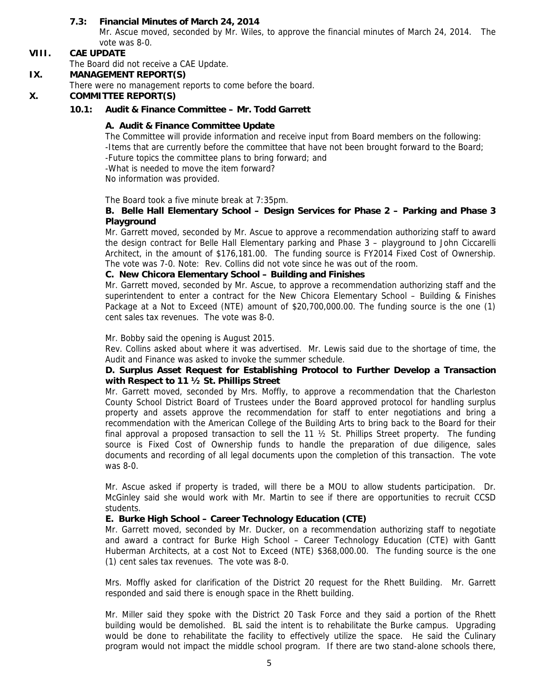## **7.3: Financial Minutes of March 24, 2014**

Mr. Ascue moved, seconded by Mr. Wiles, to approve the financial minutes of March 24, 2014. The vote was 8-0.

## **VIII. CAE UPDATE**

The Board did not receive a CAE Update.

### **IX. MANAGEMENT REPORT(S)**

There were no management reports to come before the board.

## **X. COMMITTEE REPORT(S)**

**10.1: Audit & Finance Committee – Mr. Todd Garrett**

## **A. Audit & Finance Committee Update**

The Committee will provide information and receive input from Board members on the following: -Items that are currently before the committee that have not been brought forward to the Board; -Future topics the committee plans to bring forward; and -What is needed to move the item forward?

No information was provided.

The Board took a five minute break at 7:35pm.

## **B. Belle Hall Elementary School – Design Services for Phase 2 – Parking and Phase 3 Playground**

Mr. Garrett moved, seconded by Mr. Ascue to approve a recommendation authorizing staff to award the design contract for Belle Hall Elementary parking and Phase 3 – playground to John Ciccarelli Architect, in the amount of \$176,181.00. The funding source is FY2014 Fixed Cost of Ownership. The vote was 7-0. Note: Rev. Collins did not vote since he was out of the room.

### **C. New Chicora Elementary School – Building and Finishes**

Mr. Garrett moved, seconded by Mr. Ascue, to approve a recommendation authorizing staff and the superintendent to enter a contract for the New Chicora Elementary School – Building & Finishes Package at a Not to Exceed (NTE) amount of \$20,700,000.00. The funding source is the one (1) cent sales tax revenues. The vote was 8-0.

Mr. Bobby said the opening is August 2015.

Rev. Collins asked about where it was advertised. Mr. Lewis said due to the shortage of time, the Audit and Finance was asked to invoke the summer schedule.

## **D. Surplus Asset Request for Establishing Protocol to Further Develop a Transaction with Respect to 11 ½ St. Phillips Street**

Mr. Garrett moved, seconded by Mrs. Moffly, to approve a recommendation that the Charleston County School District Board of Trustees under the Board approved protocol for handling surplus property and assets approve the recommendation for staff to enter negotiations and bring a recommendation with the American College of the Building Arts to bring back to the Board for their final approval a proposed transaction to sell the 11  $\frac{1}{2}$  St. Phillips Street property. The funding source is Fixed Cost of Ownership funds to handle the preparation of due diligence, sales documents and recording of all legal documents upon the completion of this transaction. The vote was 8-0.

Mr. Ascue asked if property is traded, will there be a MOU to allow students participation. Dr. McGinley said she would work with Mr. Martin to see if there are opportunities to recruit CCSD students.

### **E. Burke High School – Career Technology Education (CTE)**

Mr. Garrett moved, seconded by Mr. Ducker, on a recommendation authorizing staff to negotiate and award a contract for Burke High School – Career Technology Education (CTE) with Gantt Huberman Architects, at a cost Not to Exceed (NTE) \$368,000.00. The funding source is the one (1) cent sales tax revenues. The vote was 8-0.

Mrs. Moffly asked for clarification of the District 20 request for the Rhett Building. Mr. Garrett responded and said there is enough space in the Rhett building.

Mr. Miller said they spoke with the District 20 Task Force and they said a portion of the Rhett building would be demolished. BL said the intent is to rehabilitate the Burke campus. Upgrading would be done to rehabilitate the facility to effectively utilize the space. He said the Culinary program would not impact the middle school program. If there are two stand-alone schools there,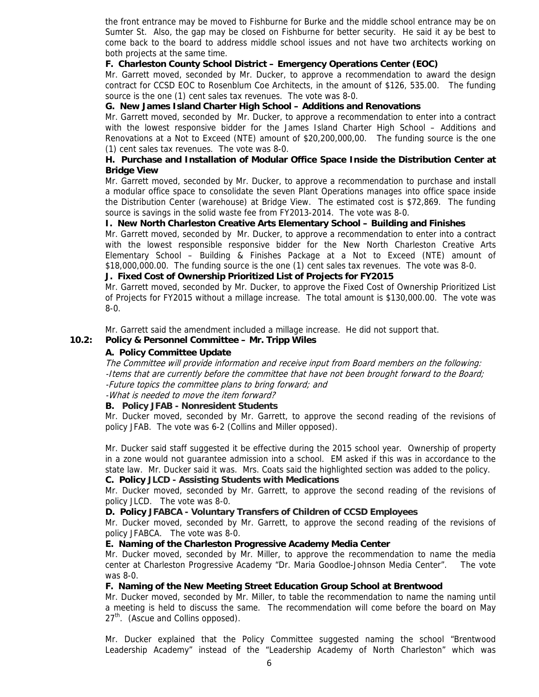the front entrance may be moved to Fishburne for Burke and the middle school entrance may be on Sumter St. Also, the gap may be closed on Fishburne for better security. He said it ay be best to come back to the board to address middle school issues and not have two architects working on both projects at the same time.

### **F. Charleston County School District – Emergency Operations Center (EOC)**

Mr. Garrett moved, seconded by Mr. Ducker, to approve a recommendation to award the design contract for CCSD EOC to Rosenblum Coe Architects, in the amount of \$126, 535.00. The funding source is the one (1) cent sales tax revenues. The vote was 8-0.

## **G. New James Island Charter High School – Additions and Renovations**

Mr. Garrett moved, seconded by Mr. Ducker, to approve a recommendation to enter into a contract with the lowest responsive bidder for the James Island Charter High School – Additions and Renovations at a Not to Exceed (NTE) amount of \$20,200,000,00. The funding source is the one (1) cent sales tax revenues. The vote was 8-0.

## **H. Purchase and Installation of Modular Office Space Inside the Distribution Center at Bridge View**

Mr. Garrett moved, seconded by Mr. Ducker, to approve a recommendation to purchase and install a modular office space to consolidate the seven Plant Operations manages into office space inside the Distribution Center (warehouse) at Bridge View. The estimated cost is \$72,869. The funding source is savings in the solid waste fee from FY2013-2014. The vote was 8-0.

## **I. New North Charleston Creative Arts Elementary School – Building and Finishes**

Mr. Garrett moved, seconded by Mr. Ducker, to approve a recommendation to enter into a contract with the lowest responsible responsive bidder for the New North Charleston Creative Arts Elementary School – Building & Finishes Package at a Not to Exceed (NTE) amount of \$18,000,000.00. The funding source is the one (1) cent sales tax revenues. The vote was 8-0.

### **J. Fixed Cost of Ownership Prioritized List of Projects for FY2015**

Mr. Garrett moved, seconded by Mr. Ducker, to approve the Fixed Cost of Ownership Prioritized List of Projects for FY2015 without a millage increase. The total amount is \$130,000.00. The vote was 8-0.

Mr. Garrett said the amendment included a millage increase. He did not support that.

## **10.2: Policy & Personnel Committee – Mr. Tripp Wiles**

## **A. Policy Committee Update**

The Committee will provide information and receive input from Board members on the following: -Items that are currently before the committee that have not been brought forward to the Board; -Future topics the committee plans to bring forward; and

-What is needed to move the item forward?

### **B. Policy JFAB - Nonresident Students**

Mr. Ducker moved, seconded by Mr. Garrett, to approve the second reading of the revisions of policy JFAB. The vote was 6-2 (Collins and Miller opposed).

Mr. Ducker said staff suggested it be effective during the 2015 school year. Ownership of property in a zone would not guarantee admission into a school. EM asked if this was in accordance to the state law. Mr. Ducker said it was. Mrs. Coats said the highlighted section was added to the policy.

### **C. Policy JLCD - Assisting Students with Medications**

Mr. Ducker moved, seconded by Mr. Garrett, to approve the second reading of the revisions of policy JLCD. The vote was 8-0.

### **D. Policy JFABCA - Voluntary Transfers of Children of CCSD Employees**

Mr. Ducker moved, seconded by Mr. Garrett, to approve the second reading of the revisions of policy JFABCA. The vote was 8-0.

### **E. Naming of the Charleston Progressive Academy Media Center**

Mr. Ducker moved, seconded by Mr. Miller, to approve the recommendation to name the media center at Charleston Progressive Academy "Dr. Maria Goodloe-Johnson Media Center". The vote was 8-0.

### **F. Naming of the New Meeting Street Education Group School at Brentwood**

Mr. Ducker moved, seconded by Mr. Miller, to table the recommendation to name the naming until a meeting is held to discuss the same. The recommendation will come before the board on May 27<sup>th</sup>. (Ascue and Collins opposed).

Mr. Ducker explained that the Policy Committee suggested naming the school "Brentwood Leadership Academy" instead of the "Leadership Academy of North Charleston" which was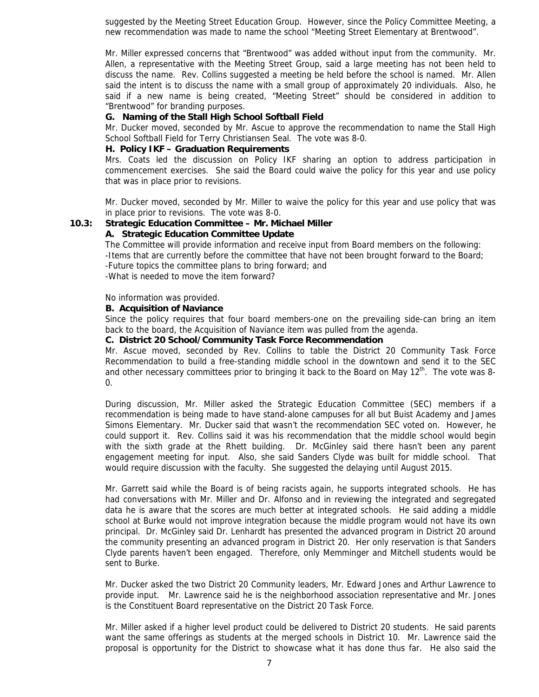suggested by the Meeting Street Education Group. However, since the Policy Committee Meeting, a new recommendation was made to name the school "Meeting Street Elementary at Brentwood".

Mr. Miller expressed concerns that "Brentwood" was added without input from the community. Mr. Allen, a representative with the Meeting Street Group, said a large meeting has not been held to discuss the name. Rev. Collins suggested a meeting be held before the school is named. Mr. Allen said the intent is to discuss the name with a small group of approximately 20 individuals. Also, he said if a new name is being created, "Meeting Street" should be considered in addition to "Brentwood" for branding purposes.

### **G. Naming of the Stall High School Softball Field**

Mr. Ducker moved, seconded by Mr. Ascue to approve the recommendation to name the Stall High School Softball Field for Terry Christiansen Seal. The vote was 8-0.

### **H. Policy IKF – Graduation Requirements**

Mrs. Coats led the discussion on Policy IKF sharing an option to address participation in commencement exercises. She said the Board could waive the policy for this year and use policy that was in place prior to revisions.

Mr. Ducker moved, seconded by Mr. Miller to waive the policy for this year and use policy that was in place prior to revisions. The vote was 8-0.

## **10.3: Strategic Education Committee – Mr. Michael Miller**

### **A. Strategic Education Committee Update**

The Committee will provide information and receive input from Board members on the following: -Items that are currently before the committee that have not been brought forward to the Board; -Future topics the committee plans to bring forward; and -What is needed to move the item forward?

### No information was provided.

### **B. Acquisition of Naviance**

Since the policy requires that four board members-one on the prevailing side-can bring an item back to the board, the Acquisition of Naviance item was pulled from the agenda.

### **C. District 20 School/Community Task Force Recommendation**

Mr. Ascue moved, seconded by Rev. Collins to table the District 20 Community Task Force Recommendation to build a free-standing middle school in the downtown and send it to the SEC and other necessary committees prior to bringing it back to the Board on May  $12<sup>th</sup>$ . The vote was 8-0.

During discussion, Mr. Miller asked the Strategic Education Committee (SEC) members if a recommendation is being made to have stand-alone campuses for all but Buist Academy and James Simons Elementary. Mr. Ducker said that wasn't the recommendation SEC voted on. However, he could support it. Rev. Collins said it was his recommendation that the middle school would begin with the sixth grade at the Rhett building. Dr. McGinley said there hasn't been any parent engagement meeting for input. Also, she said Sanders Clyde was built for middle school. That would require discussion with the faculty. She suggested the delaying until August 2015.

Mr. Garrett said while the Board is of being racists again, he supports integrated schools. He has had conversations with Mr. Miller and Dr. Alfonso and in reviewing the integrated and segregated data he is aware that the scores are much better at integrated schools. He said adding a middle school at Burke would not improve integration because the middle program would not have its own principal. Dr. McGinley said Dr. Lenhardt has presented the advanced program in District 20 around the community presenting an advanced program in District 20. Her only reservation is that Sanders Clyde parents haven't been engaged. Therefore, only Memminger and Mitchell students would be sent to Burke.

Mr. Ducker asked the two District 20 Community leaders, Mr. Edward Jones and Arthur Lawrence to provide input. Mr. Lawrence said he is the neighborhood association representative and Mr. Jones is the Constituent Board representative on the District 20 Task Force.

Mr. Miller asked if a higher level product could be delivered to District 20 students. He said parents want the same offerings as students at the merged schools in District 10. Mr. Lawrence said the proposal is opportunity for the District to showcase what it has done thus far. He also said the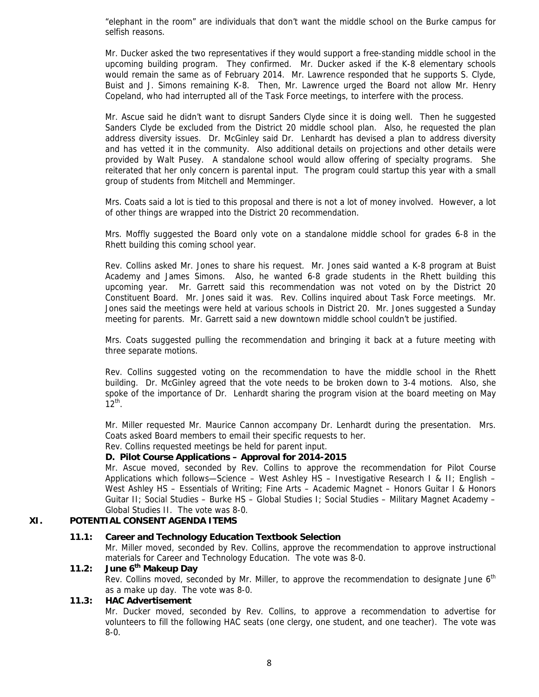"elephant in the room" are individuals that don't want the middle school on the Burke campus for selfish reasons.

Mr. Ducker asked the two representatives if they would support a free-standing middle school in the upcoming building program. They confirmed. Mr. Ducker asked if the K-8 elementary schools would remain the same as of February 2014. Mr. Lawrence responded that he supports S. Clyde, Buist and J. Simons remaining K-8. Then, Mr. Lawrence urged the Board not allow Mr. Henry Copeland, who had interrupted all of the Task Force meetings, to interfere with the process.

Mr. Ascue said he didn't want to disrupt Sanders Clyde since it is doing well. Then he suggested Sanders Clyde be excluded from the District 20 middle school plan. Also, he requested the plan address diversity issues. Dr. McGinley said Dr. Lenhardt has devised a plan to address diversity and has vetted it in the community. Also additional details on projections and other details were provided by Walt Pusey. A standalone school would allow offering of specialty programs. She reiterated that her only concern is parental input. The program could startup this year with a small group of students from Mitchell and Memminger.

Mrs. Coats said a lot is tied to this proposal and there is not a lot of money involved. However, a lot of other things are wrapped into the District 20 recommendation.

Mrs. Moffly suggested the Board only vote on a standalone middle school for grades 6-8 in the Rhett building this coming school year.

Rev. Collins asked Mr. Jones to share his request. Mr. Jones said wanted a K-8 program at Buist Academy and James Simons. Also, he wanted 6-8 grade students in the Rhett building this upcoming year. Mr. Garrett said this recommendation was not voted on by the District 20 Constituent Board. Mr. Jones said it was. Rev. Collins inquired about Task Force meetings. Mr. Jones said the meetings were held at various schools in District 20. Mr. Jones suggested a Sunday meeting for parents. Mr. Garrett said a new downtown middle school couldn't be justified.

Mrs. Coats suggested pulling the recommendation and bringing it back at a future meeting with three separate motions.

Rev. Collins suggested voting on the recommendation to have the middle school in the Rhett building. Dr. McGinley agreed that the vote needs to be broken down to 3-4 motions. Also, she spoke of the importance of Dr. Lenhardt sharing the program vision at the board meeting on May  $12^{th}$ .

Mr. Miller requested Mr. Maurice Cannon accompany Dr. Lenhardt during the presentation. Mrs. Coats asked Board members to email their specific requests to her.

Rev. Collins requested meetings be held for parent input.

### **D. Pilot Course Applications – Approval for 2014-2015**

Mr. Ascue moved, seconded by Rev. Collins to approve the recommendation for Pilot Course Applications which follows—Science – West Ashley HS – Investigative Research I & II; English – West Ashley HS - Essentials of Writing; Fine Arts - Academic Magnet - Honors Guitar I & Honors Guitar II; Social Studies – Burke HS – Global Studies I; Social Studies – Military Magnet Academy – Global Studies II. The vote was 8-0.

### **XI. POTENTIAL CONSENT AGENDA ITEMS**

### **11.1: Career and Technology Education Textbook Selection**

Mr. Miller moved, seconded by Rev. Collins, approve the recommendation to approve instructional materials for Career and Technology Education. The vote was 8-0.

### **11.2: June 6th Makeup Day**

Rev. Collins moved, seconded by Mr. Miller, to approve the recommendation to designate June 6<sup>th</sup> as a make up day. The vote was 8-0.

### **11.3: HAC Advertisement**

Mr. Ducker moved, seconded by Rev. Collins, to approve a recommendation to advertise for volunteers to fill the following HAC seats (one clergy, one student, and one teacher). The vote was 8-0.